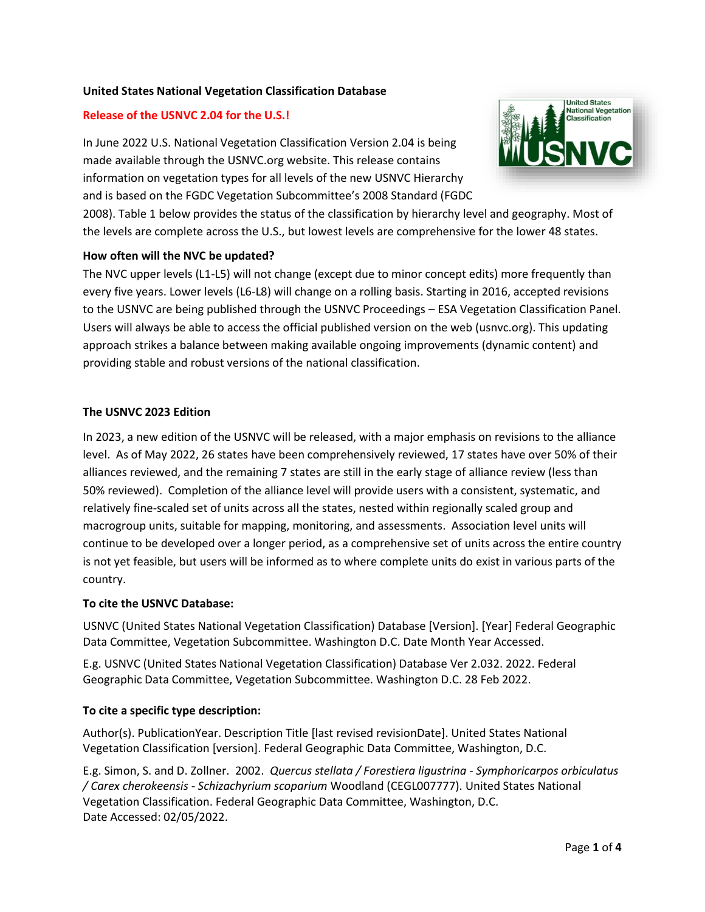# **United States National Vegetation Classification Database**

# **Release of the USNVC 2.04 for the U.S.!**

In June 2022 U.S. National Vegetation Classification Version 2.04 is being made available through the USNVC.org website. This release contains information on vegetation types for all levels of the new USNVC Hierarchy and is based on the FGDC Vegetation Subcommittee's 2008 Standard (FGDC



2008). Table 1 below provides the status of the classification by hierarchy level and geography. Most of the levels are complete across the U.S., but lowest levels are comprehensive for the lower 48 states.

### **How often will the NVC be updated?**

The NVC upper levels (L1-L5) will not change (except due to minor concept edits) more frequently than every five years. Lower levels (L6-L8) will change on a rolling basis. Starting in 2016, accepted revisions to the USNVC are being published through the USNVC Proceedings – ESA Vegetation Classification Panel. Users will always be able to access the official published version on the web (usnvc.org). This updating approach strikes a balance between making available ongoing improvements (dynamic content) and providing stable and robust versions of the national classification.

### **The USNVC 2023 Edition**

In 2023, a new edition of the USNVC will be released, with a major emphasis on revisions to the alliance level. As of May 2022, 26 states have been comprehensively reviewed, 17 states have over 50% of their alliances reviewed, and the remaining 7 states are still in the early stage of alliance review (less than 50% reviewed). Completion of the alliance level will provide users with a consistent, systematic, and relatively fine-scaled set of units across all the states, nested within regionally scaled group and macrogroup units, suitable for mapping, monitoring, and assessments. Association level units will continue to be developed over a longer period, as a comprehensive set of units across the entire country is not yet feasible, but users will be informed as to where complete units do exist in various parts of the country.

#### **To cite the USNVC Database:**

USNVC (United States National Vegetation Classification) Database [Version]. [Year] Federal Geographic Data Committee, Vegetation Subcommittee. Washington D.C. Date Month Year Accessed.

E.g. USNVC (United States National Vegetation Classification) Database Ver 2.032. 2022. Federal Geographic Data Committee, Vegetation Subcommittee. Washington D.C. 28 Feb 2022.

# **To cite a specific type description:**

Author(s). PublicationYear. Description Title [last revised revisionDate]. United States National Vegetation Classification [version]. Federal Geographic Data Committee, Washington, D.C.

E.g. Simon, S. and D. Zollner. 2002. *Quercus stellata / Forestiera ligustrina - Symphoricarpos orbiculatus / Carex cherokeensis - Schizachyrium scoparium* Woodland (CEGL007777). United States National Vegetation Classification. Federal Geographic Data Committee, Washington, D.C. Date Accessed: 02/05/2022.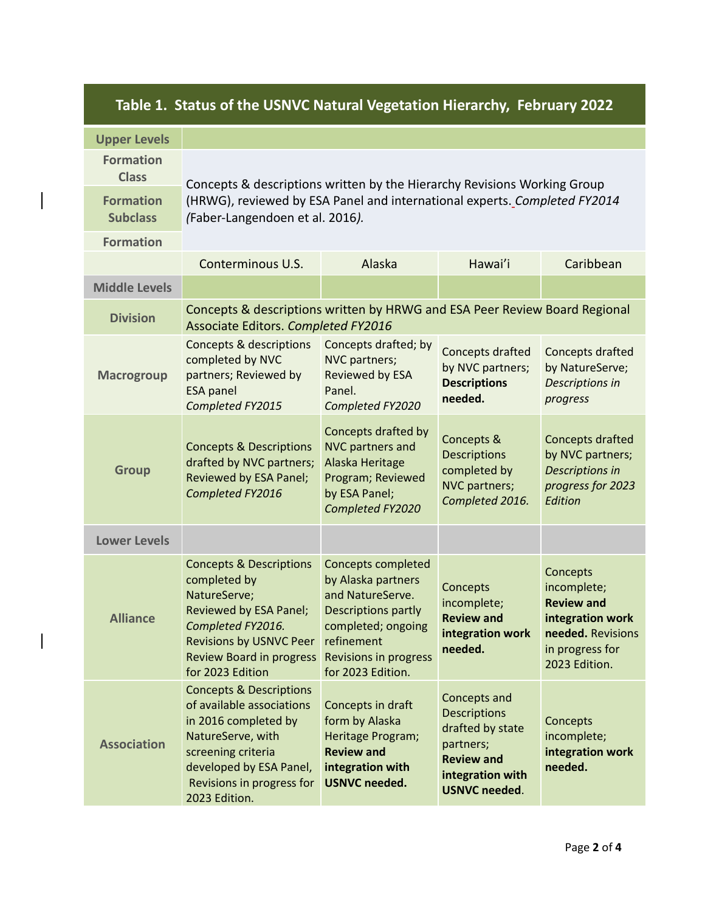| Table 1. Status of the USNVC Natural Vegetation Hierarchy, February 2022 |                                                                                                                                                                                                             |                                                                                                                                                                                     |                                                                                                                                       |                                                                                                                           |
|--------------------------------------------------------------------------|-------------------------------------------------------------------------------------------------------------------------------------------------------------------------------------------------------------|-------------------------------------------------------------------------------------------------------------------------------------------------------------------------------------|---------------------------------------------------------------------------------------------------------------------------------------|---------------------------------------------------------------------------------------------------------------------------|
| <b>Upper Levels</b>                                                      |                                                                                                                                                                                                             |                                                                                                                                                                                     |                                                                                                                                       |                                                                                                                           |
| <b>Formation</b><br><b>Class</b>                                         | Concepts & descriptions written by the Hierarchy Revisions Working Group<br>(HRWG), reviewed by ESA Panel and international experts. Completed FY2014<br>(Faber-Langendoen et al. 2016).                    |                                                                                                                                                                                     |                                                                                                                                       |                                                                                                                           |
| <b>Formation</b><br><b>Subclass</b>                                      |                                                                                                                                                                                                             |                                                                                                                                                                                     |                                                                                                                                       |                                                                                                                           |
| <b>Formation</b>                                                         |                                                                                                                                                                                                             |                                                                                                                                                                                     |                                                                                                                                       |                                                                                                                           |
|                                                                          | Conterminous U.S.                                                                                                                                                                                           | Alaska                                                                                                                                                                              | Hawai'i                                                                                                                               | Caribbean                                                                                                                 |
| <b>Middle Levels</b>                                                     |                                                                                                                                                                                                             |                                                                                                                                                                                     |                                                                                                                                       |                                                                                                                           |
| <b>Division</b>                                                          | Concepts & descriptions written by HRWG and ESA Peer Review Board Regional<br>Associate Editors. Completed FY2016                                                                                           |                                                                                                                                                                                     |                                                                                                                                       |                                                                                                                           |
| <b>Macrogroup</b>                                                        | <b>Concepts &amp; descriptions</b><br>completed by NVC<br>partners; Reviewed by<br><b>ESA panel</b><br>Completed FY2015                                                                                     | Concepts drafted; by<br>NVC partners;<br>Reviewed by ESA<br>Panel.<br>Completed FY2020                                                                                              | Concepts drafted<br>by NVC partners;<br><b>Descriptions</b><br>needed.                                                                | Concepts drafted<br>by NatureServe;<br>Descriptions in<br>progress                                                        |
| <b>Group</b>                                                             | <b>Concepts &amp; Descriptions</b><br>drafted by NVC partners;<br>Reviewed by ESA Panel;<br>Completed FY2016                                                                                                | Concepts drafted by<br>NVC partners and<br>Alaska Heritage<br>Program; Reviewed<br>by ESA Panel;<br>Completed FY2020                                                                | Concepts &<br><b>Descriptions</b><br>completed by<br>NVC partners;<br>Completed 2016.                                                 | Concepts drafted<br>by NVC partners;<br>Descriptions in<br>progress for 2023<br>Edition                                   |
| <b>Lower Levels</b>                                                      |                                                                                                                                                                                                             |                                                                                                                                                                                     |                                                                                                                                       |                                                                                                                           |
| <b>Alliance</b>                                                          | <b>Concepts &amp; Descriptions</b><br>completed by<br>NatureServe;<br>Reviewed by ESA Panel;<br>Completed FY2016.<br><b>Revisions by USNVC Peer</b><br><b>Review Board in progress</b><br>for 2023 Edition  | <b>Concepts completed</b><br>by Alaska partners<br>and NatureServe.<br>Descriptions partly<br>completed; ongoing<br>refinement<br><b>Revisions in progress</b><br>for 2023 Edition. | Concepts<br>incomplete;<br><b>Review and</b><br>integration work<br>needed.                                                           | Concepts<br>incomplete;<br><b>Review and</b><br>integration work<br>needed. Revisions<br>in progress for<br>2023 Edition. |
| <b>Association</b>                                                       | <b>Concepts &amp; Descriptions</b><br>of available associations<br>in 2016 completed by<br>NatureServe, with<br>screening criteria<br>developed by ESA Panel,<br>Revisions in progress for<br>2023 Edition. | Concepts in draft<br>form by Alaska<br>Heritage Program;<br><b>Review and</b><br>integration with<br><b>USNVC needed.</b>                                                           | Concepts and<br><b>Descriptions</b><br>drafted by state<br>partners;<br><b>Review and</b><br>integration with<br><b>USNVC needed.</b> | Concepts<br>incomplete;<br>integration work<br>needed.                                                                    |

# **Table 1. Status of the USNVC Natural Vegetation Hierarchy, February 2022**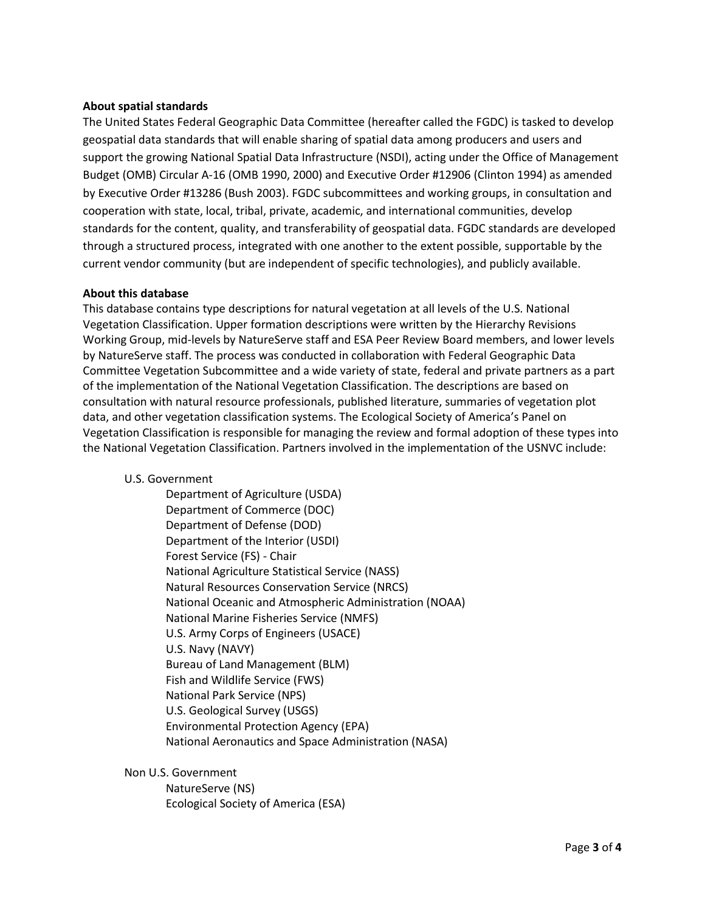### **About spatial standards**

The United States Federal Geographic Data Committee (hereafter called the FGDC) is tasked to develop geospatial data standards that will enable sharing of spatial data among producers and users and support the growing National Spatial Data Infrastructure (NSDI), acting under the Office of Management Budget (OMB) Circular A-16 (OMB 1990, 2000) and Executive Order #12906 (Clinton 1994) as amended by Executive Order #13286 (Bush 2003). FGDC subcommittees and working groups, in consultation and cooperation with state, local, tribal, private, academic, and international communities, develop standards for the content, quality, and transferability of geospatial data. FGDC standards are developed through a structured process, integrated with one another to the extent possible, supportable by the current vendor community (but are independent of specific technologies), and publicly available.

#### **About this database**

This database contains type descriptions for natural vegetation at all levels of the U.S. National Vegetation Classification. Upper formation descriptions were written by the Hierarchy Revisions Working Group, mid-levels by NatureServe staff and ESA Peer Review Board members, and lower levels by NatureServe staff. The process was conducted in collaboration with Federal Geographic Data Committee Vegetation Subcommittee and a wide variety of state, federal and private partners as a part of the implementation of the National Vegetation Classification. The descriptions are based on consultation with natural resource professionals, published literature, summaries of vegetation plot data, and other vegetation classification systems. The Ecological Society of America's Panel on Vegetation Classification is responsible for managing the review and formal adoption of these types into the National Vegetation Classification. Partners involved in the implementation of the USNVC include:

U.S. Government

Department of Agriculture (USDA) Department of Commerce (DOC) Department of Defense (DOD) Department of the Interior (USDI) Forest Service (FS) - Chair National Agriculture Statistical Service (NASS) Natural Resources Conservation Service (NRCS) National Oceanic and Atmospheric Administration (NOAA) National Marine Fisheries Service (NMFS) U.S. Army Corps of Engineers (USACE) U.S. Navy (NAVY) Bureau of Land Management (BLM) Fish and Wildlife Service (FWS) National Park Service (NPS) U.S. Geological Survey (USGS) Environmental Protection Agency (EPA) National Aeronautics and Space Administration (NASA)

Non U.S. Government

NatureServe (NS) Ecological Society of America (ESA)